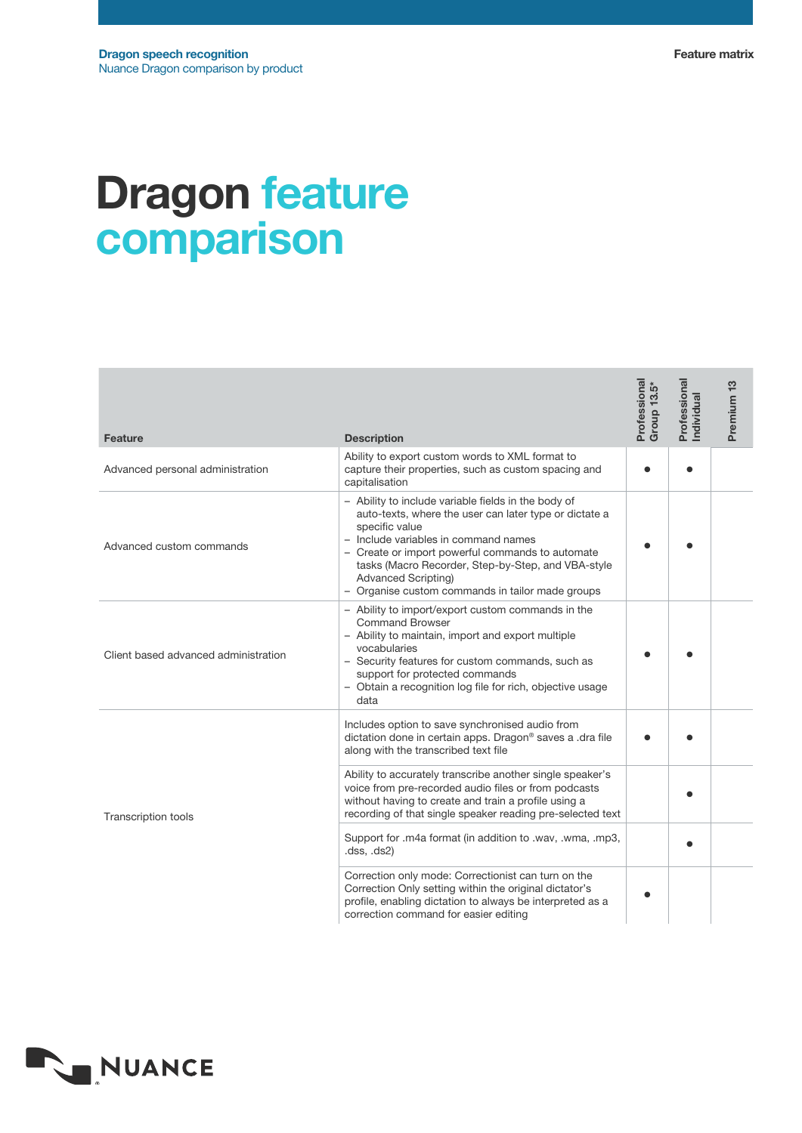## Dragon feature comparison

| <b>Feature</b>                       | <b>Description</b>                                                                                                                                                                                                                                                                                                                                           | Professional<br>Group 13.5* | Professional<br>Individual | Premium <sub>13</sub> |
|--------------------------------------|--------------------------------------------------------------------------------------------------------------------------------------------------------------------------------------------------------------------------------------------------------------------------------------------------------------------------------------------------------------|-----------------------------|----------------------------|-----------------------|
| Advanced personal administration     | Ability to export custom words to XML format to<br>capture their properties, such as custom spacing and<br>capitalisation                                                                                                                                                                                                                                    |                             |                            |                       |
| Advanced custom commands             | - Ability to include variable fields in the body of<br>auto-texts, where the user can later type or dictate a<br>specific value<br>- Include variables in command names<br>- Create or import powerful commands to automate<br>tasks (Macro Recorder, Step-by-Step, and VBA-style<br>Advanced Scripting)<br>- Organise custom commands in tailor made groups |                             |                            |                       |
| Client based advanced administration | - Ability to import/export custom commands in the<br><b>Command Browser</b><br>- Ability to maintain, import and export multiple<br>vocabularies<br>- Security features for custom commands, such as<br>support for protected commands<br>- Obtain a recognition log file for rich, objective usage<br>data                                                  |                             |                            |                       |
| <b>Transcription tools</b>           | Includes option to save synchronised audio from<br>dictation done in certain apps. Dragon® saves a .dra file<br>along with the transcribed text file                                                                                                                                                                                                         |                             |                            |                       |
|                                      | Ability to accurately transcribe another single speaker's<br>voice from pre-recorded audio files or from podcasts<br>without having to create and train a profile using a<br>recording of that single speaker reading pre-selected text                                                                                                                      |                             |                            |                       |
|                                      | Support for .m4a format (in addition to .wav, .wma, .mp3,<br>(dss, ds2)                                                                                                                                                                                                                                                                                      |                             |                            |                       |
|                                      | Correction only mode: Correctionist can turn on the<br>Correction Only setting within the original dictator's<br>profile, enabling dictation to always be interpreted as a<br>correction command for easier editing                                                                                                                                          |                             |                            |                       |

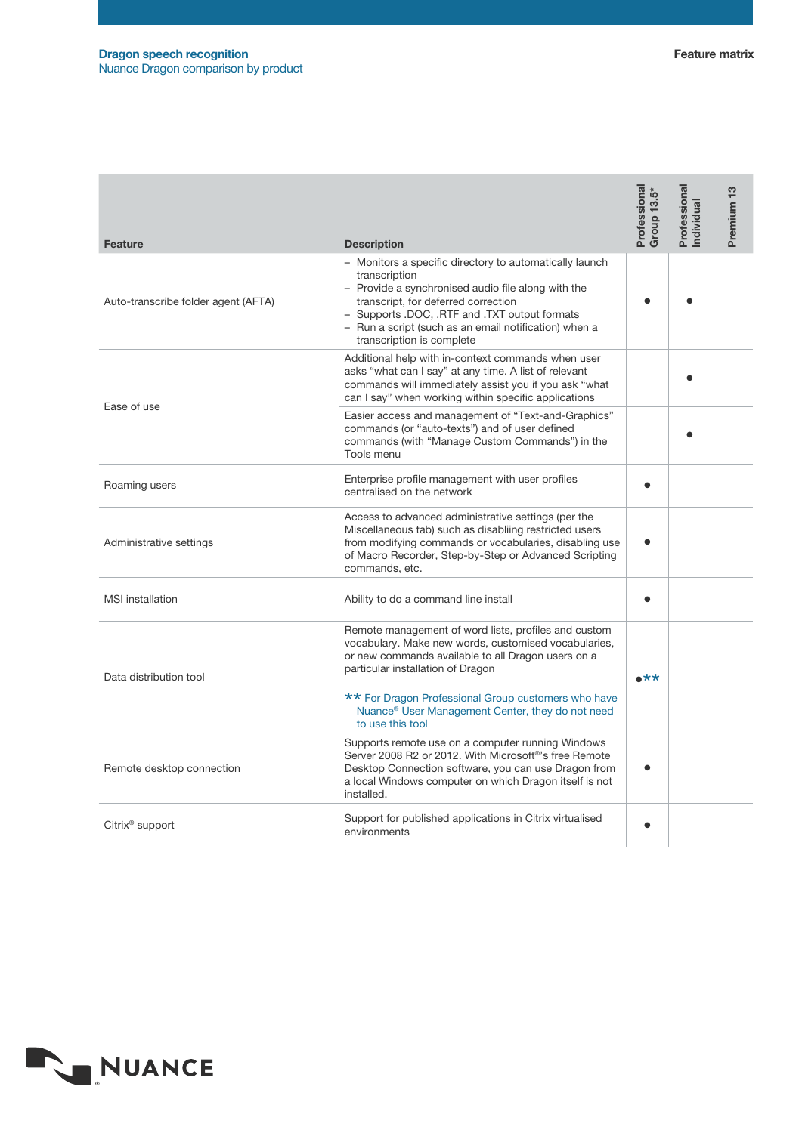| Feature                             | <b>Description</b>                                                                                                                                                                                                                                                                                                             | Professional<br>Group 13.5* | Professional<br>ndividual | Premium <sub>13</sub> |
|-------------------------------------|--------------------------------------------------------------------------------------------------------------------------------------------------------------------------------------------------------------------------------------------------------------------------------------------------------------------------------|-----------------------------|---------------------------|-----------------------|
| Auto-transcribe folder agent (AFTA) | - Monitors a specific directory to automatically launch<br>transcription<br>- Provide a synchronised audio file along with the<br>transcript, for deferred correction<br>- Supports .DOC, .RTF and .TXT output formats<br>- Run a script (such as an email notification) when a<br>transcription is complete                   |                             |                           |                       |
| Ease of use                         | Additional help with in-context commands when user<br>asks "what can I say" at any time. A list of relevant<br>commands will immediately assist you if you ask "what<br>can I say" when working within specific applications                                                                                                   |                             |                           |                       |
|                                     | Easier access and management of "Text-and-Graphics"<br>commands (or "auto-texts") and of user defined<br>commands (with "Manage Custom Commands") in the<br>Tools menu                                                                                                                                                         |                             |                           |                       |
| Roaming users                       | Enterprise profile management with user profiles<br>centralised on the network                                                                                                                                                                                                                                                 |                             |                           |                       |
| Administrative settings             | Access to advanced administrative settings (per the<br>Miscellaneous tab) such as disabliing restricted users<br>from modifying commands or vocabularies, disabling use<br>of Macro Recorder, Step-by-Step or Advanced Scripting<br>commands, etc.                                                                             |                             |                           |                       |
| <b>MSI</b> installation             | Ability to do a command line install                                                                                                                                                                                                                                                                                           |                             |                           |                       |
| Data distribution tool              | Remote management of word lists, profiles and custom<br>vocabulary. Make new words, customised vocabularies,<br>or new commands available to all Dragon users on a<br>particular installation of Dragon<br>** For Dragon Professional Group customers who have<br>Nuance <sup>®</sup> User Management Center, they do not need | $\star\star$                |                           |                       |
|                                     | to use this tool<br>Supports remote use on a computer running Windows                                                                                                                                                                                                                                                          |                             |                           |                       |
| Remote desktop connection           | Server 2008 R2 or 2012. With Microsoft <sup>®</sup> 's free Remote<br>Desktop Connection software, you can use Dragon from<br>a local Windows computer on which Dragon itself is not<br>installed.                                                                                                                             |                             |                           |                       |
| Citrix <sup>®</sup> support         | Support for published applications in Citrix virtualised<br>environments                                                                                                                                                                                                                                                       |                             |                           |                       |